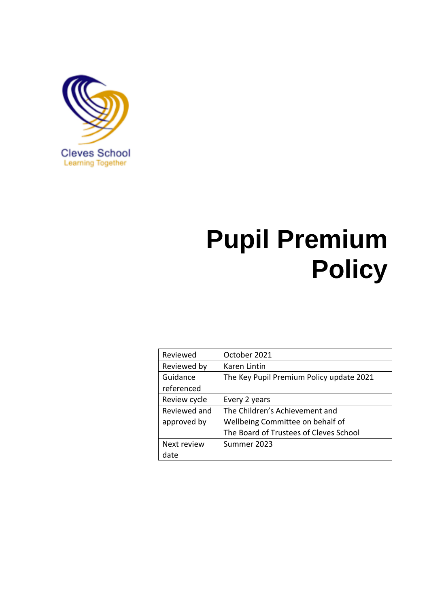

# **Pupil Premium Policy**

| Reviewed     | October 2021                             |
|--------------|------------------------------------------|
| Reviewed by  | Karen Lintin                             |
| Guidance     | The Key Pupil Premium Policy update 2021 |
| referenced   |                                          |
| Review cycle | Every 2 years                            |
| Reviewed and | The Children's Achievement and           |
| approved by  | Wellbeing Committee on behalf of         |
|              | The Board of Trustees of Cleves School   |
| Next review  | Summer 2023                              |
| date         |                                          |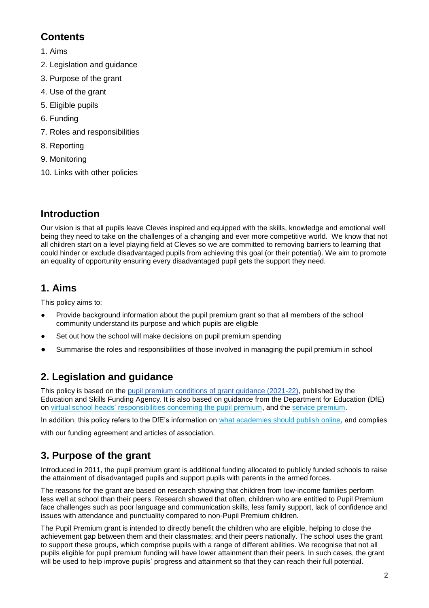## **Contents**

- 1. Aims
- 2. Legislation and guidance
- 3. Purpose of the grant
- 4. Use of the grant
- 5. Eligible pupils
- 6. Funding
- 7. Roles and responsibilities
- 8. Reporting
- 9. Monitoring
- 10. Links with other policies

# **Introduction**

Our vision is that all pupils leave Cleves inspired and equipped with the skills, knowledge and emotional well being they need to take on the challenges of a changing and ever more competitive world. We know that not all children start on a level playing field at Cleves so we are committed to removing barriers to learning that could hinder or exclude disadvantaged pupils from achieving this goal (or their potential). We aim to promote an equality of opportunity ensuring every disadvantaged pupil gets the support they need.

# **1. Aims**

This policy aims to:

- Provide background information about the pupil premium grant so that all members of the school community understand its purpose and which pupils are eligible
- Set out how the school will make decisions on pupil premium spending
- Summarise the roles and responsibilities of those involved in managing the pupil premium in school

# **2. Legislation and guidance**

This policy is based on the [pupil premium conditions of grant guidance \(2021-22\),](https://www.gov.uk/government/publications/pupil-premium-allocations-and-conditions-of-grant-2021-to-2022) published by the Education and Skills Funding Agency. It is also based on guidance from the Department for Education (DfE) on [virtual school heads' responsibilities concerning the pupil premium,](https://www.gov.uk/guidance/pupil-premium-virtual-school-heads-responsibilities) and the [service premium.](https://www.gov.uk/guidance/service-premium-information-for-schools)

In addition, this policy refers to the DfE's information on [what academies should publish online,](https://www.gov.uk/guidance/what-academies-free-schools-and-colleges-should-publish-online#pupil-premium) and complies

with our funding agreement and articles of association.

# **3. Purpose of the grant**

Introduced in 2011, the pupil premium grant is additional funding allocated to publicly funded schools to raise the attainment of disadvantaged pupils and support pupils with parents in the armed forces.

The reasons for the grant are based on research showing that children from low-income families perform less well at school than their peers. Research showed that often, children who are entitled to Pupil Premium face challenges such as poor language and communication skills, less family support, lack of confidence and issues with attendance and punctuality compared to non-Pupil Premium children.

The Pupil Premium grant is intended to directly benefit the children who are eligible, helping to close the achievement gap between them and their classmates; and their peers nationally. The school uses the grant to support these groups, which comprise pupils with a range of different abilities. We recognise that not all pupils eligible for pupil premium funding will have lower attainment than their peers. In such cases, the grant will be used to help improve pupils' progress and attainment so that they can reach their full potential.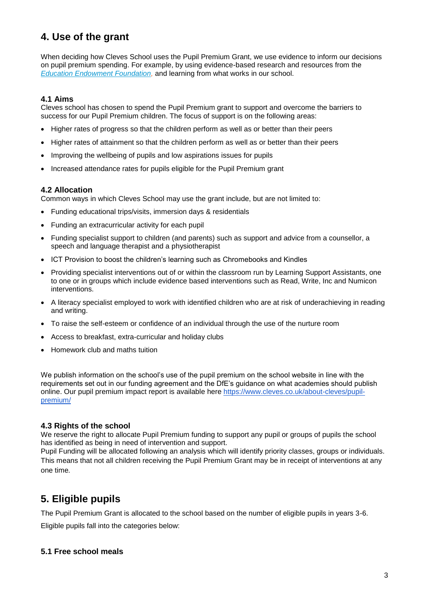## **4. Use of the grant**

When deciding how Cleves School uses the Pupil Premium Grant, we use evidence to inform our decisions on pupil premium spending. For example, by using evidence-based research and resources from the *[Education Endowment Foundation,](https://educationendowmentfoundation.org.uk/)* and learning from what works in our school.

#### **4.1 Aims**

Cleves school has chosen to spend the Pupil Premium grant to support and overcome the barriers to success for our Pupil Premium children. The focus of support is on the following areas:

- Higher rates of progress so that the children perform as well as or better than their peers
- Higher rates of attainment so that the children perform as well as or better than their peers
- Improving the wellbeing of pupils and low aspirations issues for pupils
- Increased attendance rates for pupils eligible for the Pupil Premium grant

#### **4.2 Allocation**

Common ways in which Cleves School may use the grant include, but are not limited to:

- Funding educational trips/visits, immersion days & residentials
- Funding an extracurricular activity for each pupil
- Funding specialist support to children (and parents) such as support and advice from a counsellor, a speech and language therapist and a physiotherapist
- ICT Provision to boost the children's learning such as Chromebooks and Kindles
- Providing specialist interventions out of or within the classroom run by Learning Support Assistants, one to one or in groups which include evidence based interventions such as Read, Write, Inc and Numicon interventions.
- A literacy specialist employed to work with identified children who are at risk of underachieving in reading and writing.
- To raise the self-esteem or confidence of an individual through the use of the nurture room
- Access to breakfast, extra-curricular and holiday clubs
- Homework club and maths tuition

We publish information on the school's use of the pupil premium on the school website in line with the requirements set out in our funding agreement and the DfE's guidance on what academies should publish online. Our pupil premium impact report is available here [https://www.cleves.co.uk/about-cleves/pupil](https://www.cleves.co.uk/about-cleves/pupil-premium/)[premium/](https://www.cleves.co.uk/about-cleves/pupil-premium/)

#### **4.3 Rights of the school**

We reserve the right to allocate Pupil Premium funding to support any pupil or groups of pupils the school has identified as being in need of intervention and support.

Pupil Funding will be allocated following an analysis which will identify priority classes, groups or individuals. This means that not all children receiving the Pupil Premium Grant may be in receipt of interventions at any one time*.* 

## **5. Eligible pupils**

The Pupil Premium Grant is allocated to the school based on the number of eligible pupils in years 3-6.

Eligible pupils fall into the categories below:

#### **5.1 Free school meals**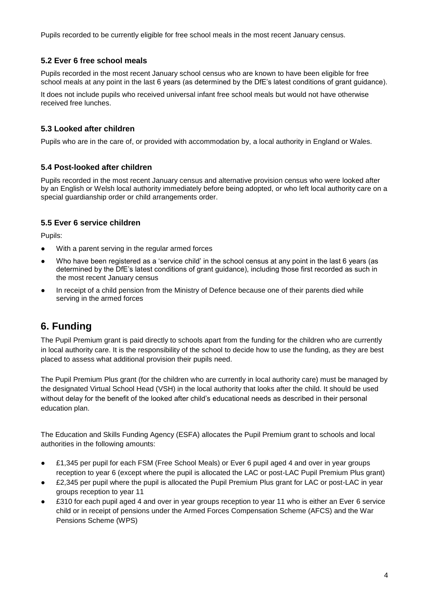Pupils recorded to be currently eligible for free school meals in the most recent January census.

#### **5.2 Ever 6 free school meals**

Pupils recorded in the most recent January school census who are known to have been eligible for free school meals at any point in the last 6 years (as determined by the DfE's latest conditions of grant guidance).

It does not include pupils who received universal infant free school meals but would not have otherwise received free lunches.

#### **5.3 Looked after children**

Pupils who are in the care of, or provided with accommodation by, a local authority in England or Wales.

#### **5.4 Post-looked after children**

Pupils recorded in the most recent January census and alternative provision census who were looked after by an English or Welsh local authority immediately before being adopted, or who left local authority care on a special guardianship order or child arrangements order.

#### **5.5 Ever 6 service children**

Pupils:

- With a parent serving in the regular armed forces
- Who have been registered as a 'service child' in the school census at any point in the last 6 years (as determined by the DfE's latest conditions of grant guidance), including those first recorded as such in the most recent January census
- In receipt of a child pension from the Ministry of Defence because one of their parents died while serving in the armed forces

## **6. Funding**

The Pupil Premium grant is paid directly to schools apart from the funding for the children who are currently in local authority care. It is the responsibility of the school to decide how to use the funding, as they are best placed to assess what additional provision their pupils need.

The Pupil Premium Plus grant (for the children who are currently in local authority care) must be managed by the designated Virtual School Head (VSH) in the local authority that looks after the child. It should be used without delay for the benefit of the looked after child's educational needs as described in their personal education plan.

The Education and Skills Funding Agency (ESFA) allocates the Pupil Premium grant to schools and local authorities in the following amounts:

- £1,345 per pupil for each FSM (Free School Meals) or Ever 6 pupil aged 4 and over in year groups reception to year 6 (except where the pupil is allocated the LAC or post-LAC Pupil Premium Plus grant)
- £2,345 per pupil where the pupil is allocated the Pupil Premium Plus grant for LAC or post-LAC in year groups reception to year 11
- £310 for each pupil aged 4 and over in year groups reception to year 11 who is either an Ever 6 service child or in receipt of pensions under the Armed Forces Compensation Scheme (AFCS) and the War Pensions Scheme (WPS)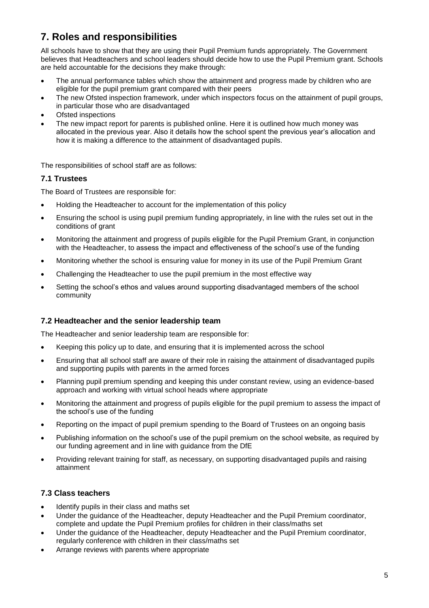## **7. Roles and responsibilities**

All schools have to show that they are using their Pupil Premium funds appropriately. The Government believes that Headteachers and school leaders should decide how to use the Pupil Premium grant. Schools are held accountable for the decisions they make through:

- The annual performance tables which show the attainment and progress made by children who are eligible for the pupil premium grant compared with their peers
- The new Ofsted inspection framework, under which inspectors focus on the attainment of pupil groups, in particular those who are disadvantaged
- Ofsted inspections
- The new impact report for parents is published online. Here it is outlined how much money was allocated in the previous year. Also it details how the school spent the previous year's allocation and how it is making a difference to the attainment of disadvantaged pupils.

The responsibilities of school staff are as follows:

#### **7.1 Trustees**

The Board of Trustees are responsible for:

- Holding the Headteacher to account for the implementation of this policy
- Ensuring the school is using pupil premium funding appropriately, in line with the rules set out in the conditions of grant
- Monitoring the attainment and progress of pupils eligible for the Pupil Premium Grant, in conjunction with the Headteacher, to assess the impact and effectiveness of the school's use of the funding
- Monitoring whether the school is ensuring value for money in its use of the Pupil Premium Grant
- Challenging the Headteacher to use the pupil premium in the most effective way
- Setting the school's ethos and values around supporting disadvantaged members of the school community

#### **7.2 Headteacher and the senior leadership team**

The Headteacher and senior leadership team are responsible for:

- Keeping this policy up to date, and ensuring that it is implemented across the school
- Ensuring that all school staff are aware of their role in raising the attainment of disadvantaged pupils and supporting pupils with parents in the armed forces
- Planning pupil premium spending and keeping this under constant review, using an evidence-based approach and working with virtual school heads where appropriate
- Monitoring the attainment and progress of pupils eligible for the pupil premium to assess the impact of the school's use of the funding
- Reporting on the impact of pupil premium spending to the Board of Trustees on an ongoing basis
- Publishing information on the school's use of the pupil premium on the school website, as required by our funding agreement and in line with guidance from the DfE
- Providing relevant training for staff, as necessary, on supporting disadvantaged pupils and raising attainment

#### **7.3 Class teachers**

- Identify pupils in their class and maths set
- Under the guidance of the Headteacher, deputy Headteacher and the Pupil Premium coordinator, complete and update the Pupil Premium profiles for children in their class/maths set
- Under the guidance of the Headteacher, deputy Headteacher and the Pupil Premium coordinator, regularly conference with children in their class/maths set
- Arrange reviews with parents where appropriate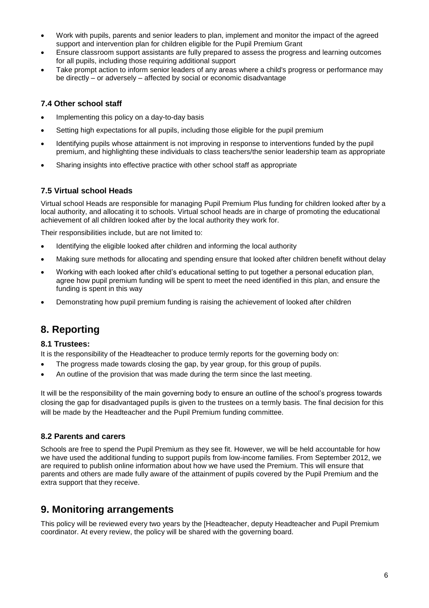- Work with pupils, parents and senior leaders to plan, implement and monitor the impact of the agreed support and intervention plan for children eligible for the Pupil Premium Grant
- Ensure classroom support assistants are fully prepared to assess the progress and learning outcomes for all pupils, including those requiring additional support
- Take prompt action to inform senior leaders of any areas where a child's progress or performance may be directly – or adversely – affected by social or economic disadvantage

#### **7.4 Other school staff**

- Implementing this policy on a day-to-day basis
- Setting high expectations for all pupils, including those eligible for the pupil premium
- Identifying pupils whose attainment is not improving in response to interventions funded by the pupil premium, and highlighting these individuals to class teachers/the senior leadership team as appropriate
- Sharing insights into effective practice with other school staff as appropriate

#### **7.5 Virtual school Heads**

Virtual school Heads are responsible for managing Pupil Premium Plus funding for children looked after by a local authority, and allocating it to schools. Virtual school heads are in charge of promoting the educational achievement of all children looked after by the local authority they work for.

Their responsibilities include, but are not limited to:

- Identifying the eligible looked after children and informing the local authority
- Making sure methods for allocating and spending ensure that looked after children benefit without delay
- Working with each looked after child's educational setting to put together a personal education plan, agree how pupil premium funding will be spent to meet the need identified in this plan, and ensure the funding is spent in this way
- Demonstrating how pupil premium funding is raising the achievement of looked after children

## **8. Reporting**

#### **8.1 Trustees:**

It is the responsibility of the Headteacher to produce termly reports for the governing body on:

- The progress made towards closing the gap, by year group, for this group of pupils.
- An outline of the provision that was made during the term since the last meeting.

It will be the responsibility of the main governing body to ensure an outline of the school's progress towards closing the gap for disadvantaged pupils is given to the trustees on a termly basis. The final decision for this will be made by the Headteacher and the Pupil Premium funding committee.

#### **8.2 Parents and carers**

Schools are free to spend the Pupil Premium as they see fit. However, we will be held accountable for how we have used the additional funding to support pupils from low-income families. From September 2012, we are required to publish online information about how we have used the Premium. This will ensure that parents and others are made fully aware of the attainment of pupils covered by the Pupil Premium and the extra support that they receive.

## **9. Monitoring arrangements**

This policy will be reviewed every two years by the [Headteacher, deputy Headteacher and Pupil Premium coordinator. At every review, the policy will be shared with the governing board.